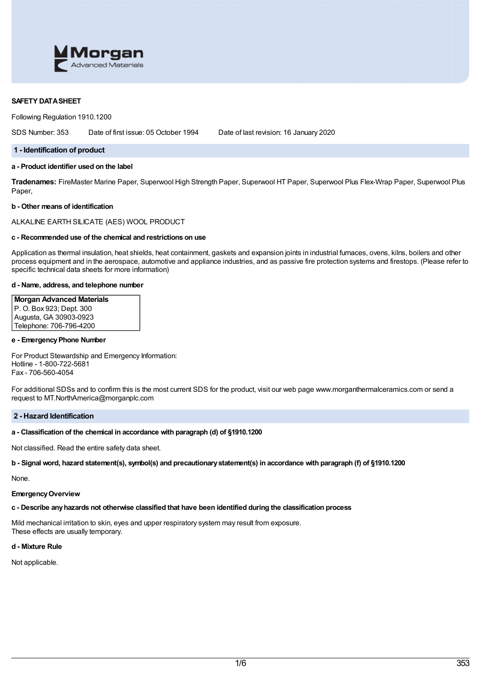

## **SAFETY DATASHEET**

Following Regulation 1910.1200

SDS Number: 353 Date of first issue: 05 October 1994 Date of last revision: 16 January 2020

#### **1 - Identification of product**

# **a - Product identifier used on the label**

**Tradenames:** FireMaster Marine Paper, Superwool High Strength Paper, Superwool HT Paper, Superwool Plus Flex-Wrap Paper, Superwool Plus Paper,

#### **b - Other means of identification**

ALKALINE EARTH SILICATE (AES) WOOL PRODUCT

# **c - Recommended use of the chemical and restrictions on use**

Application as thermal insulation, heat shields, heat containment, gaskets and expansion joints in industrial furnaces, ovens, kilns, boilers and other process equipment and in the aerospace, automotive and appliance industries, and as passive fire protection systems and firestops. (Please refer to specific technical data sheets for more information)

#### **d - Name, address, and telephone number**

# **Morgan Advanced Materials**

P. O. Box 923; Dept. 300 Augusta, GA 30903-0923 Telephone: 706-796-4200

#### **e - EmergencyPhone Number**

For Product Stewardship and Emergency Information: Hotline - 1-800-722-5681 Fax - 706-560-4054

For additional SDSs and to confirm this is the most current SDS for the product, visit our web page www.morganthermalceramics.com or send a request to MT.NorthAmerica@morganplc.com

## **2 - Hazard Identification**

## **a - Classification of the chemical in accordance with paragraph (d) of §1910.1200**

Not classified. Read the entire safety data sheet.

b - Signal word, hazard statement(s), symbol(s) and precautionary statement(s) in accordance with paragraph (f) of §1910.1200

None.

# **EmergencyOverview**

# **c - Describe anyhazards not otherwise classified that have been identified during the classification process**

Mild mechanical irritation to skin, eyes and upper respiratory system may result from exposure. These effects are usually temporary.

# **d - Mixture Rule**

Not applicable.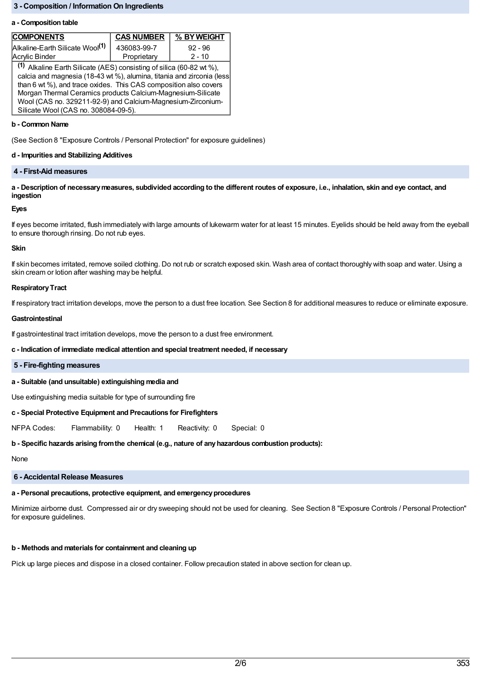# **3 - Composition / Information On Ingredients**

#### **a - Composition table**

| <b>COMPONENTS</b>                                                                                                                                                                                                                                                                                                                                                                       | <b>CAS NUMBER</b> | % BY WEIGHT |  |  |
|-----------------------------------------------------------------------------------------------------------------------------------------------------------------------------------------------------------------------------------------------------------------------------------------------------------------------------------------------------------------------------------------|-------------------|-------------|--|--|
| Alkaline-Earth Silicate Wool <sup>(1)</sup>                                                                                                                                                                                                                                                                                                                                             | 436083-99-7       | $92 - 96$   |  |  |
| Acrylic Binder                                                                                                                                                                                                                                                                                                                                                                          | Proprietary       | $2 - 10$    |  |  |
| (1) Alkaline Earth Silicate (AES) consisting of silica (60-82 wt %),<br>calcia and magnesia (18-43 wt %), alumina, titania and zirconia (less<br>than 6 wt %), and trace oxides. This CAS composition also covers<br>Morgan Thermal Ceramics products Calcium-Magnesium-Silicate<br>Wool (CAS no. 329211-92-9) and Calcium-Magnesium-Zirconium-<br>Silicate Wool (CAS no. 308084-09-5). |                   |             |  |  |

#### **b - Common Name**

(See Section 8 "Exposure Controls / Personal Protection" for exposure guidelines)

# **d - Impurities and Stabilizing Additives**

# **4 - First-Aid measures**

a - Description of necessary measures, subdivided according to the different routes of exposure, i.e., inhalation, skin and eye contact, and **ingestion**

### **Eyes**

If eyes become irritated, flush immediately with large amounts of lukewarm water for at least 15 minutes. Eyelids should be held away from the eyeball to ensure thorough rinsing. Do not rub eyes.

#### **Skin**

If skin becomes irritated, remove soiled clothing. Do not rub or scratch exposed skin. Wash area of contact thoroughly with soap and water. Using a skin cream or lotion after washing may be helpful.

#### **Respiratory Tract**

If respiratory tract irritation develops, move the person to a dust free location. See Section 8 for additional measures to reduce or eliminate exposure.

#### **Gastrointestinal**

If gastrointestinal tract irritation develops, move the person to a dust free environment.

### **c - Indication of immediate medical attention and special treatment needed, if necessary**

#### **5 - Fire-fighting measures**

# **a - Suitable (and unsuitable) extinguishing media and**

Use extinguishing media suitable for type of surrounding fire

### **c - Special Protective Equipment and Precautions for Firefighters**

NFPA Codes: Flammability: 0 Health: 1 Reactivity: 0 Special: 0

### **b - Specific hazards arising fromthe chemical (e.g., nature of anyhazardous combustion products):**

None

# **6 - Accidental Release Measures**

# **a - Personal precautions, protective equipment, and emergencyprocedures**

Minimize airborne dust. Compressed air or dry sweeping should not be used for cleaning. See Section 8 "Exposure Controls / Personal Protection" for exposure guidelines.

# **b - Methods and materials for containment and cleaning up**

Pick up large pieces and dispose in a closed container. Follow precaution stated in above section for clean up.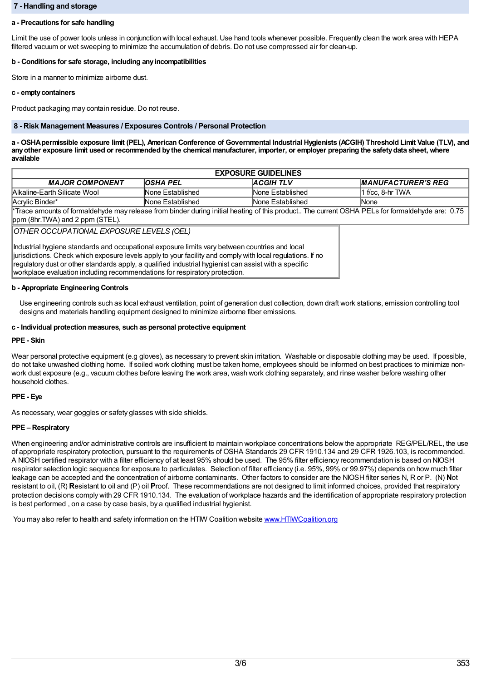## **7 - Handling and storage**

## **a - Precautions for safe handling**

Limit the use of power tools unless in conjunction with local exhaust. Use hand tools whenever possible. Frequently clean the work area with HEPA filtered vacuum or wet sweeping to minimize the accumulation of debris. Do not use compressed air for clean-up.

### **b - Conditions for safe storage, including anyincompatibilities**

Store in a manner to minimize airborne dust.

### **c - emptycontainers**

Product packaging may contain residue. Do not reuse.

### **8 - Risk Management Measures / Exposures Controls / Personal Protection**

a - OSHA permissible exposure limit (PEL), American Conference of Governmental Industrial Hygienists (ACGIH) Threshold Limit Value (TLV), and any other exposure limit used or recommended by the chemical manufacturer, importer, or employer preparing the safety data sheet, where **available**

| <b>EXPOSURE GUIDELINES</b>                                                                                                                                                        |                  |                  |                           |  |
|-----------------------------------------------------------------------------------------------------------------------------------------------------------------------------------|------------------|------------------|---------------------------|--|
| <b>MAJOR COMPONENT</b>                                                                                                                                                            | <b>OSHA PEL</b>  | <b>ACGIHTLV</b>  | <b>MANUFACTURER'S REG</b> |  |
| Alkaline-Earth Silicate Wool                                                                                                                                                      | None Established | None Established | l1 f/cc. 8-hr TWA         |  |
| Acrylic Binder*                                                                                                                                                                   | None Established | None Established | <b>None</b>               |  |
| *Trace amounts of formaldehyde may release from binder during initial heating of this product The current OSHA PELs for formaldehyde are: 0.75<br>ppm (8hr.TWA) and 2 ppm (STEL). |                  |                  |                           |  |

*OTHER OCCUPATIONAL EXPOSURE LEVELS (OEL)*

Industrial hygiene standards and occupational exposure limits vary between countries and local jurisdictions. Check which exposure levels apply to your facility and comply with local regulations. If no regulatory dust or other standards apply, a qualified industrial hygienist can assist with a specific workplace evaluation including recommendations for respiratory protection.

# **b - Appropriate Engineering Controls**

Use engineering controls such as local exhaust ventilation, point of generation dust collection, down draft work stations, emission controlling tool designs and materials handling equipment designed to minimize airborne fiber emissions.

### **c - Individual protection measures, such as personal protective equipment**

# **PPE - Skin**

Wear personal protective equipment (e.g gloves), as necessary to prevent skin irritation. Washable or disposable clothing may be used. If possible, do not take unwashed clothing home. If soiled work clothing must be taken home, employees should be informed on best practices to minimize nonwork dust exposure (e.g., vacuum clothes before leaving the work area, wash work clothing separately, and rinse washer before washing other household clothes.

# **PPE - Eye**

As necessary, wear goggles or safety glasses with side shields.

# **PPE – Respiratory**

When engineering and/or administrative controls are insufficient to maintain workplace concentrations below the appropriate REG/PEL/REL, the use of appropriate respiratory protection, pursuant to the requirements of OSHA Standards 29 CFR 1910.134 and 29 CFR 1926.103, is recommended. A NIOSH certified respirator with a filter efficiency of at least 95% should be used. The 95% filter efficiency recommendation is based on NIOSH respirator selection logic sequence for exposure to particulates. Selection of filter efficiency (i.e. 95%, 99% or 99.97%) depends on how much filter leakage can be accepted and the concentration of airborne contaminants. Other factors to consider are the NIOSH filter series N, R or P. (N) **N**ot resistant to oil, (R) **R**esistant to oil and (P) oil **P**roof. These recommendations are not designed to limit informed choices, provided that respiratory protection decisions comply with 29 CFR 1910.134. The evaluation of workplace hazards and the identification of appropriate respiratory protection is best performed , on a case by case basis, by a qualified industrial hygienist.

You may also refer to health and safety information on the HTM Coalition website www.HTMCoalition.org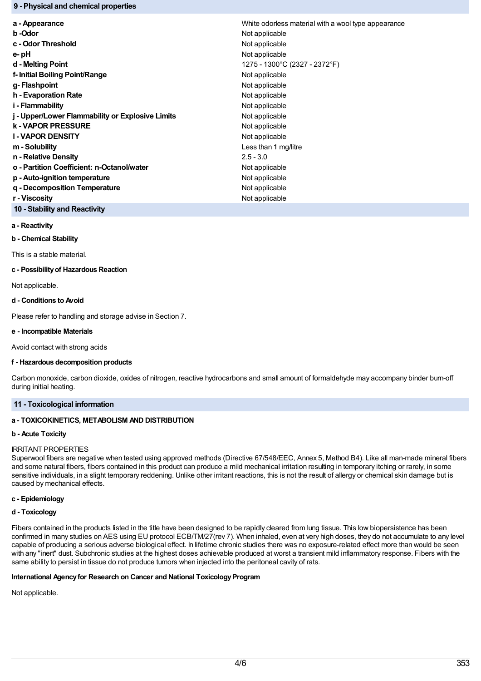## **9 - Physical and chemical properties**

| a - Appearance                                   | White odorless material with a wool type appearance |  |
|--------------------------------------------------|-----------------------------------------------------|--|
| b -Odor                                          | Not applicable                                      |  |
| c - Odor Threshold                               | Not applicable                                      |  |
| e-pH                                             | Not applicable                                      |  |
| d - Melting Point                                | 1275 - 1300°C (2327 - 2372°F)                       |  |
| f- Initial Boiling Point/Range                   | Not applicable                                      |  |
| g-Flashpoint                                     | Not applicable                                      |  |
| h - Evaporation Rate                             | Not applicable                                      |  |
| i - Flammability                                 | Not applicable                                      |  |
| j - Upper/Lower Flammability or Explosive Limits | Not applicable                                      |  |
| <b>k-VAPOR PRESSURE</b>                          | Not applicable                                      |  |
| <b>I-VAPOR DENSITY</b>                           | Not applicable                                      |  |
| m - Solubility                                   | Less than 1 mg/litre                                |  |
| n - Relative Density                             | $2.5 - 3.0$                                         |  |
| o - Partition Coefficient: n-Octanol/water       | Not applicable                                      |  |
| p - Auto-ignition temperature                    | Not applicable                                      |  |
| g - Decomposition Temperature                    | Not applicable                                      |  |
| r - Viscositv                                    | Not applicable                                      |  |
|                                                  |                                                     |  |

**10 - Stability and Reactivity**

# **a - Reactivity**

**b - Chemical Stability**

This is a stable material.

#### **c - Possibilityof Hazardous Reaction**

Not applicable.

### **d - Conditions to Avoid**

Please refer to handling and storage advise in Section 7.

## **e - Incompatible Materials**

Avoid contact with strong acids

### **f - Hazardous decomposition products**

Carbon monoxide, carbon dioxide, oxides of nitrogen, reactive hydrocarbons and small amount of formaldehyde may accompany binder burn-off during initial heating.

# **11 - Toxicological information**

# **a - TOXICOKINETICS, METABOLISM AND DISTRIBUTION**

### **b - Acute Toxicity**

### IRRITANT PROPERTIES

Superwool fibers are negative when tested using approved methods (Directive 67/548/EEC, Annex 5, Method B4). Like all man-made mineral fibers and some natural fibers, fibers contained in this product can produce a mild mechanical irritation resulting in temporary itching or rarely, in some sensitive individuals, in a slight temporary reddening. Unlike other irritant reactions, this is not the result of allergy or chemical skin damage but is caused by mechanical effects.

## **c - Epidemiology**

### **d - Toxicology**

Fibers contained in the products listed in the title have been designed to be rapidly cleared from lung tissue. This low biopersistence has been confirmed in many studies on AES using EU protocol ECB/TM/27(rev 7). When inhaled, even at very high doses, they do not accumulate to any level capable of producing a serious adverse biological effect. In lifetime chronic studies there was no exposure-related effect more than would be seen with any "inert" dust. Subchronic studies at the highest doses achievable produced at worst a transient mild inflammatory response. Fibers with the same ability to persist in tissue do not produce tumors when injected into the peritoneal cavity of rats.

## **International Agencyfor Research on Cancer and National ToxicologyProgram**

Not applicable.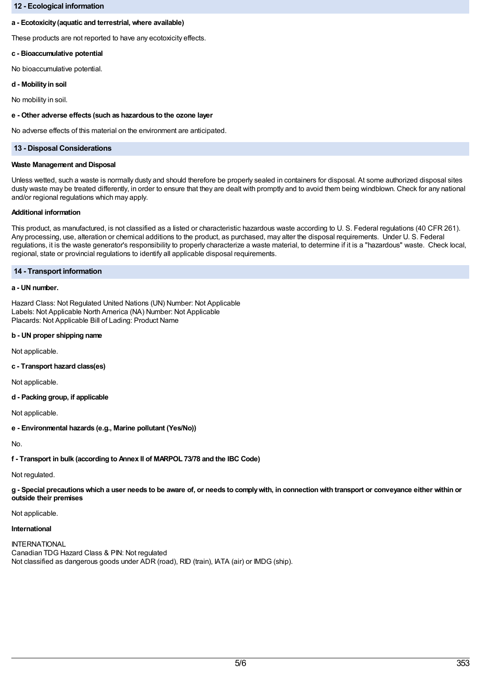## **12 - Ecological information**

## **a - Ecotoxicity(aquatic and terrestrial, where available)**

These products are not reported to have any ecotoxicity effects.

## **c - Bioaccumulative potential**

No bioaccumulative potential.

#### **d - Mobilityin soil**

No mobility in soil.

### **e - Other adverse effects (such as hazardous to the ozone layer**

No adverse effects of this material on the environment are anticipated.

## **13 - Disposal Considerations**

#### **Waste Management and Disposal**

Unless wetted, such a waste is normally dusty and should therefore be properly sealed in containers for disposal. At some authorized disposal sites dusty waste may be treated differently, in order to ensure that they are dealt with promptly and to avoid them being windblown. Check for any national and/or regional regulations which may apply.

### **Additional information**

This product, as manufactured, is not classified as a listed or characteristic hazardous waste according to U. S. Federal regulations (40 CFR 261). Any processing, use, alteration or chemical additions to the product, as purchased, may alter the disposal requirements. Under U. S. Federal regulations, it is the waste generator's responsibility to properly characterize a waste material, to determine if it is a "hazardous" waste. Check local, regional, state or provincial regulations to identify all applicable disposal requirements.

## **14 - Transport information**

## **a - UN number.**

Hazard Class: Not Regulated United Nations (UN) Number: Not Applicable Labels: Not Applicable North America (NA) Number: Not Applicable Placards: Not Applicable Bill of Lading: Product Name

### **b - UN proper shipping name**

Not applicable.

# **c - Transport hazard class(es)**

Not applicable.

## **d - Packing group, if applicable**

Not applicable.

**e - Environmental hazards (e.g., Marine pollutant (Yes/No))**

No.

**f - Transport in bulk (according to Annex II of MARPOL 73/78 and the IBC Code)**

Not regulated.

g - Special precautions which a user needs to be aware of, or needs to comply with, in connection with transport or conveyance either within or **outside their premises**

#### Not applicable.

### **International**

**INTERNATIONAL** Canadian TDG Hazard Class & PIN: Not regulated Not classified as dangerous goods under ADR (road), RID (train), IATA (air) or IMDG (ship).